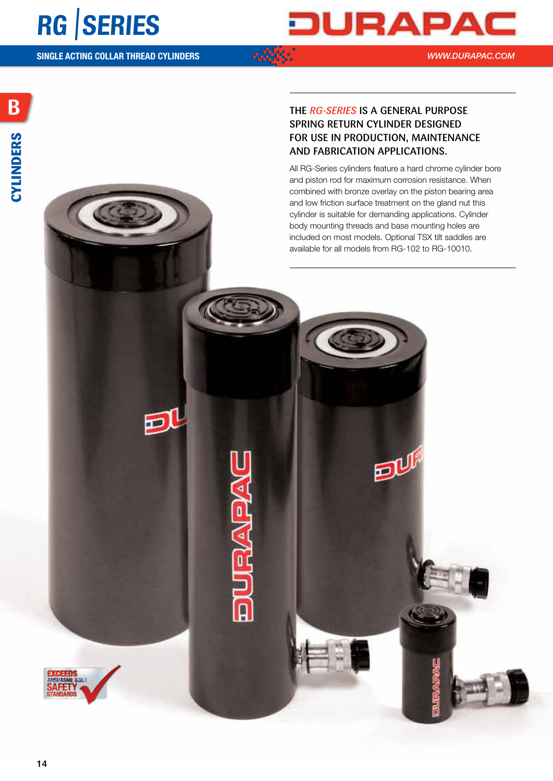

*WWW.DURAPAC.COM*

Đl

e,

### The *rg-series* is a general purpose spring return cylinder designed for use in production, maintenance and fabrication applications.

All RG-Series cylinders feature a hard chrome cylinder bore and piston rod for maximum corrosion resistance. When combined with bronze overlay on the piston bearing area and low friction surface treatment on the gland nut this cylinder is suitable for demanding applications. Cylinder body mounting threads and base mounting holes are included on most models. Optional TSX tilt saddles are available for all models from RG-102 to RG-10010.

EU

EEN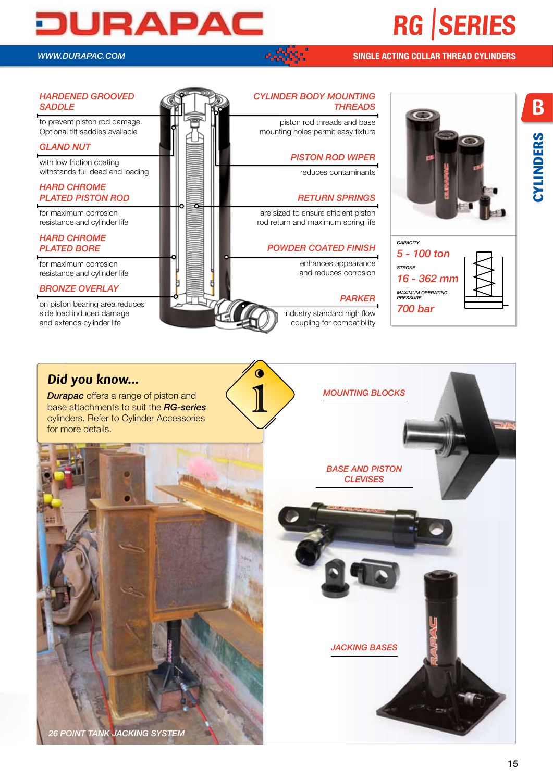# **RG** |**SERIES**

# JURAPAC

*WWW.DURAPAC.COM*

#### **SINGLE ACTING COLLAR THREAD CYLINDERS**



### **Did you know...**

**Durapac** offers a range of piston and base attachments to suit the *RG-series* cylinders. Refer to Cylinder Accessories for more details.





**B**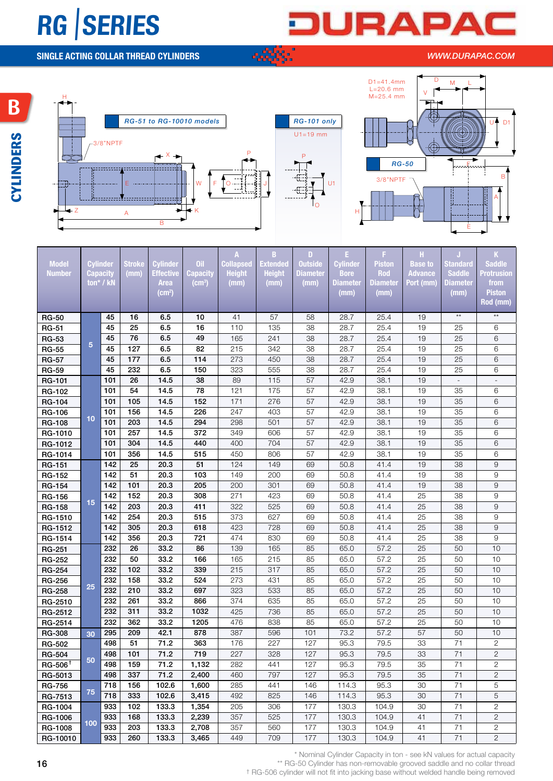## **RG** |**SERIES**

## URAP A

**SINGLE ACTING COLLAR THREAD CYLINDERS**

#### *WWW.DURAPAC.COM*







-52



| <b>Mode</b><br><b>Numbe</b> | Cylinde<br>Capacit |                  | mm)              | .<br>ffectiv       | apacit             | <b>ollaps</b><br>Heigh | <b>Extende</b><br>Height | <b>Jutsid</b><br>amete | Cylinde<br><b>Bore</b> | Pistor<br>Rod | <b>Base to</b><br><b>Advance</b> | tandar<br><b>Saddle</b> | <b>Saddle</b><br><b>rotrusio</b> |
|-----------------------------|--------------------|------------------|------------------|--------------------|--------------------|------------------------|--------------------------|------------------------|------------------------|---------------|----------------------------------|-------------------------|----------------------------------|
|                             |                    | ton* / kl        |                  | Area               | (cm <sup>3</sup> ) | (mm)                   | (mm)                     | (mm)                   | <b>Diamete</b>         | iamet         | Port (mn                         | iamete                  | from                             |
|                             |                    |                  |                  | (cm <sup>2</sup> ) |                    |                        |                          |                        | (mm)                   | (mm)          |                                  | (mm)                    | <b>Piston</b>                    |
|                             |                    |                  |                  |                    |                    |                        |                          |                        |                        |               |                                  |                         | Rod (mm)                         |
| <b>RG-50</b>                |                    | 45               | 16               | 6.5                | 10 <sub>1</sub>    | 41                     | 57                       | 58                     | 28.7                   | 25.4          | 19                               | $\star\star$            | $\star\star$                     |
| <b>RG-51</b>                |                    | 45               | 25               | 6.5                | 16                 | 110                    | 135                      | 38                     | 28.7                   | 25.4          | 19                               | 25                      | 6                                |
| <b>RG-53</b>                |                    | 45               | 76               | 6.5                | 49                 | 165                    | 241                      | 38                     | 28.7                   | 25.4          | 19                               | 25                      | 6                                |
| <b>RG-55</b>                |                    | 45               | 127              | 6.5                | 82                 | 215                    | 342                      | 38                     | 28.7                   | 25.4          | 19                               | 25                      | 6                                |
| <b>RG-57</b>                |                    | 45               | 177              | 6.5                | 114                | 273                    | 450                      | 38                     | 28.7                   | 25.4          | 19                               | 25                      | 6                                |
| <b>RG-59</b>                |                    | 45               | 232              | 6.5                | 150                | 323                    | 555                      | 38                     | 28.7                   | 25.4          | 19                               | 25                      | 6                                |
| <b>RG-101</b>               |                    | $101$            | 26               | 14.5               | 38                 | 89                     | 115                      | 57                     | 42.9                   | 38.1          | 19                               | $\sim$                  | $\sim$ $ \sim$                   |
| RG-102                      |                    | 101              | 54               | 14.5               | 78                 | 121                    | 175                      | 57                     | 42.9                   | 38.1          | 19                               | 35                      | $6\phantom{.}6$                  |
| <b>RG-104</b>               |                    | 101              | 105              | 14.5               | 152                | 171                    | 276                      | 57                     | 42.9                   | 38.1          | 19                               | 35                      | 6                                |
| <b>RG-106</b>               |                    | 101              | 156              | 14.5               | 226                | 247                    | 403                      | 57                     | 42.9                   | 38.1          | 19                               | 35                      | 6                                |
| <b>RG-108</b>               | 10.                | 101              | 203              | 14.5               | 294                | 298                    | 501                      | 57                     | 42.9                   | 38.1          | 19                               | 35                      | 6                                |
| RG-1010                     |                    | 101              | 257              | 14.5               | 372                | 349                    | 606                      | 57                     | 42.9                   | 38.1          | 19                               | 35                      | 6                                |
| RG-1012                     |                    | 101              | 304              | 14.5               | 440                | 400                    | 704                      | 57                     | 42.9                   | 38.1          | 19                               | 35                      | 6                                |
| RG-1014                     |                    | 101              | 356              | 14.5               | 515                | 450                    | 806                      | 57                     | 42.9                   | 38.1          | 19                               | 35                      | 6                                |
| <b>RG-151</b>               |                    | 142              | 25               | 20.3               | 51                 | 124                    | 149                      | 69                     | 50.8                   | 41.4          | 19                               | 38                      | $9$                              |
| <b>RG-152</b>               |                    | 142              | 51               | 20.3               | 103                | 149                    | 200                      | 69                     | 50.8                   | 41.4          | 19                               | 38                      | 9                                |
| <b>RG-154</b>               |                    | 142              | 101              | 20.3               | 205                | 200                    | 301                      | 69                     | 50.8                   | 41.4          | 19                               | 38                      | 9                                |
| RG-156                      | 15 <sup>1</sup>    | 142              | 152              | 20.3               | 308                | 271                    | 423                      | 69                     | 50.8                   | 41.4          | 25                               | 38                      | 9                                |
| <b>RG-158</b>               |                    | $\overline{142}$ | 203              | 20.3               | 411                | 322                    | 525                      | 69                     | 50.8                   | 41.4          | 25                               | 38                      | 9                                |
| RG-1510                     |                    | 142              | 254              | 20.3               | 515                | 373                    | 627                      | 69                     | 50.8                   | 41.4          | 25                               | 38                      | 9                                |
| RG-1512                     |                    | 142              | 305              | 20.3               | 618                | 423                    | 728                      | 69                     | 50.8                   | 41.4          | 25                               | 38                      | 9                                |
| RG-1514                     |                    | 142              | 356              | 20.3               | 721                | 474                    | 830                      | 69                     | 50.8                   | 41.4          | 25                               | 38                      | 9                                |
| <b>RG-251</b>               |                    | 232              | 26               | 33.2               | 86                 | 139                    | 165                      | 85                     | 65.0                   | 57.2          | 25                               | 50                      | 10                               |
| <b>RG-252</b>               |                    | 232              | 50               | 33.2               | 166                | 165                    | 215                      | 85                     | 65.0                   | 57.2          | 25                               | 50                      | 10 <sup>°</sup>                  |
| <b>RG-254</b>               |                    | 232              | 102              | 33.2               | 339                | 215                    | 317                      | 85                     | 65.0                   | 57.2          | 25                               | 50                      | 10                               |
| <b>RG-256</b>               | 25                 | 232              | 158              | 33.2               | 524                | 273                    | 431                      | 85                     | 65.0                   | 57.2          | 25                               | 50                      | 10 <sup>°</sup>                  |
| <b>RG-258</b>               |                    | 232              | 210              | 33.2               | 697                | 323                    | 533                      | 85                     | 65.0                   | 57.2          | 25                               | 50                      | 10                               |
| RG-2510                     |                    | 232              | 261              | 33.2               | 866                | 374                    | 635                      | 85                     | 65.0                   | 57.2          | 25                               | 50                      | 10                               |
| RG-2512                     |                    | 232              | 311              | 33.2               | 1032               | 425                    | 736                      | 85                     | 65.0                   | 57.2          | 25                               | 50                      | 10                               |
| RG-2514                     |                    | 232              | 362              | 33.2               | 1205               | 476                    | 838                      | 85                     | 65.0                   | 57.2          | 25                               | 50                      | 10 <sup>°</sup>                  |
| <b>RG-308</b>               | 30                 | 295              | 209              | 42.1               | 878                | 387                    | 596                      | 101                    | 73.2                   | 57.2          | 57                               | 50                      | 10                               |
| RG-502                      |                    | 498              | 51               | 71.2               | 363                | 176                    | 227                      | 127                    | 95.3                   | 79.5          | 33                               | 71                      | $\mathbf{2}^{\prime}$            |
| <b>RG-504</b>               | 50                 | 498              | 101              | 71.2               | 719                | 227                    | 328                      | 127                    | 95.3                   | 79.5          | 33                               | 71                      | $\overline{2}$                   |
| $RG-506$ <sup>t</sup>       |                    | $\overline{498}$ | $\overline{159}$ | $\overline{71.2}$  | 1,132              | 282                    | 441                      | 127                    | 95.3                   | 79.5          | 35                               | 71                      | $\overline{c}$                   |
| RG-5013                     |                    | 498              | 337              | 71.2               | 2,400              | 460                    | 797                      | 127                    | 95.3                   | 79.5          | 35                               | 71                      | $\overline{c}$                   |
| <b>RG-756</b>               | 75                 | $ 718 $ 156      |                  | 102.6              | 1,600              | 285                    | 441                      | 146                    | 114.3                  | 95.3          | 30                               | 71                      | $\overline{5}$                   |
| RG-7513                     |                    | $718$ 333        |                  | 102.6              | 3,415              | 492                    | 825                      | 146                    | 114.3                  | 95.3          | 30                               | 71                      | $5\phantom{.0}$                  |
| RG-1004                     |                    | 933              | 102              | 133.3              | 1,354              | 205                    | 306                      | 177                    | 130.3                  | 104.9         | 30                               | 71                      | $\overline{2}$                   |
| RG-1006                     | 100                | 933              | 168              | 133.3              | 2,239              | 357                    | 525                      | 177                    | 130.3                  | 104.9         | 41                               | 71                      | $\overline{2}$                   |
| RG-1008                     |                    | 933              | 203              | 133.3              | 2,708              | 357                    | 560                      | 177                    | 130.3                  | 104.9         | 41                               | 71                      | $\overline{2}$                   |
| RG-10010                    |                    | 933              | 260              | 133.3              | 3,465              | 449                    | 709                      | 177                    | 130.3                  | 104.9         | 41                               | 71                      | $\overline{2}$                   |

\* Nominal Cylinder Capacity in ton - see kN values for actual capacity

\*\* RG-50 Cylinder has non-removable grooved saddle and no collar thread

† RG-506 cylinder will not fit into jacking base without welded handle being removed